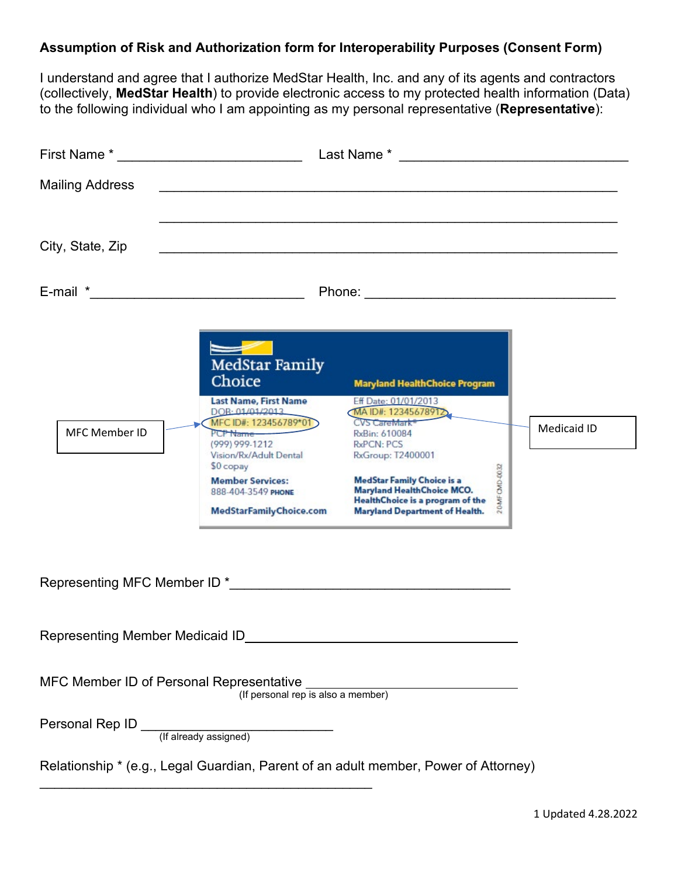## **Assumption of Risk and Authorization form for Interoperability Purposes (Consent Form)**

I understand and agree that I authorize MedStar Health, Inc. and any of its agents and contractors (collectively, **MedStar Health**) to provide electronic access to my protected health information (Data) to the following individual who I am appointing as my personal representative (**Representative**):

| First Name * The Contract of the Contract of the Contract of Times and Times and Times and Times and Times and |                                                                                                                                                                                                                                | Last Name * The contract of the contract of the contract of the contract of the contract of the contract of the contract of the contract of the contract of the contract of the contract of the contract of the contract of th                                                                          |             |
|----------------------------------------------------------------------------------------------------------------|--------------------------------------------------------------------------------------------------------------------------------------------------------------------------------------------------------------------------------|---------------------------------------------------------------------------------------------------------------------------------------------------------------------------------------------------------------------------------------------------------------------------------------------------------|-------------|
| <b>Mailing Address</b>                                                                                         |                                                                                                                                                                                                                                |                                                                                                                                                                                                                                                                                                         |             |
| City, State, Zip                                                                                               |                                                                                                                                                                                                                                |                                                                                                                                                                                                                                                                                                         |             |
| E-mail * <u>_________________________________</u>                                                              |                                                                                                                                                                                                                                |                                                                                                                                                                                                                                                                                                         |             |
|                                                                                                                | <b>MedStar Family</b><br>Choice                                                                                                                                                                                                | <b>Maryland HealthChoice Program</b>                                                                                                                                                                                                                                                                    |             |
| <b>MFC Member ID</b>                                                                                           | Last Name, First Name<br>DOB: 01/01/2013<br>MFC ID#: 123456789*01<br>PCP Name<br>(999) 999-1212<br>Vision/Rx/Adult Dental<br>\$0 copay<br><b>Member Services:</b><br>888-404-3549 PHONE<br>MedStarFamilyChoice.com             | Eff Date: 01/01/2013<br>MAID#: 12345678912<br>CVS CareMark <sup>®</sup><br>RxBin: 610084<br>RxPCN: PCS<br>RxGroup: T2400001<br>CMD-0032<br><b>MedStar Family Choice is a</b><br><b>Maryland HealthChoice MCO.</b><br>20AMF<br>HealthChoice is a program of the<br><b>Maryland Department of Health.</b> | Medicaid ID |
|                                                                                                                | Representing MFC Member ID * The state of the state of the state of the state of the state of the state of the state of the state of the state of the state of the state of the state of the state of the state of the state o |                                                                                                                                                                                                                                                                                                         |             |
| Representing Member Medicaid ID                                                                                |                                                                                                                                                                                                                                |                                                                                                                                                                                                                                                                                                         |             |
| MFC Member ID of Personal Representative _                                                                     | (If personal rep is also a member)                                                                                                                                                                                             |                                                                                                                                                                                                                                                                                                         |             |
|                                                                                                                |                                                                                                                                                                                                                                |                                                                                                                                                                                                                                                                                                         |             |
|                                                                                                                |                                                                                                                                                                                                                                | Relationship * (e.g., Legal Guardian, Parent of an adult member, Power of Attorney)                                                                                                                                                                                                                     |             |